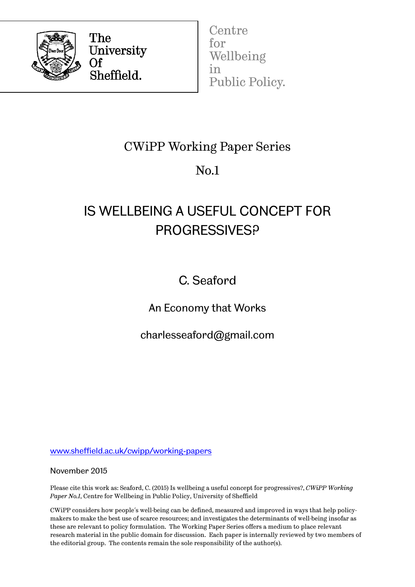

The University Of Sheffield.

**Centre** for Wellbeing in Public Policy.

# CWiPP Working Paper Series

# No.1

# IS WELLBEING A USEFUL CONCEPT FOR PROGRESSIVES?

C. Seaford

An Economy that Works

charlesseaford@gmail.com

[www.sheffield.ac.uk/cwipp/working-papers](http://www.sheffield.ac.uk/cwipp/working-papers)

### November 2015

Please cite this work as: Seaford, C. (2015) Is wellbeing a useful concept for progressives?, *CWiPP Working Paper No.1*, Centre for Wellbeing in Public Policy, University of Sheffield

CWiPP considers how people´s well-being can be defined, measured and improved in ways that help policymakers to make the best use of scarce resources; and investigates the determinants of well-being insofar as these are relevant to policy formulation. The Working Paper Series offers a medium to place relevant research material in the public domain for discussion. Each paper is internally reviewed by two members of the editorial group. The contents remain the sole responsibility of the author(s).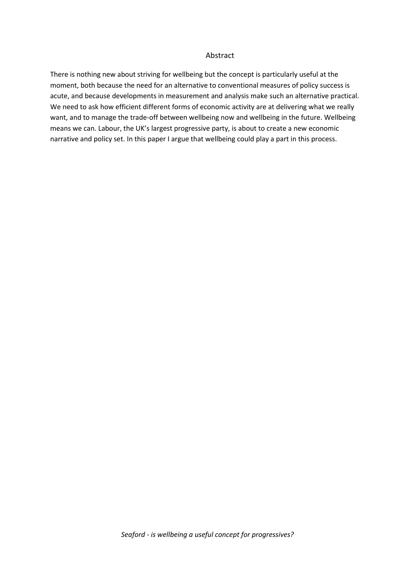#### Abstract

There is nothing new about striving for wellbeing but the concept is particularly useful at the moment, both because the need for an alternative to conventional measures of policy success is acute, and because developments in measurement and analysis make such an alternative practical. We need to ask how efficient different forms of economic activity are at delivering what we really want, and to manage the trade-off between wellbeing now and wellbeing in the future. Wellbeing means we can. Labour, the UK's largest progressive party, is about to create a new economic narrative and policy set. In this paper I argue that wellbeing could play a part in this process.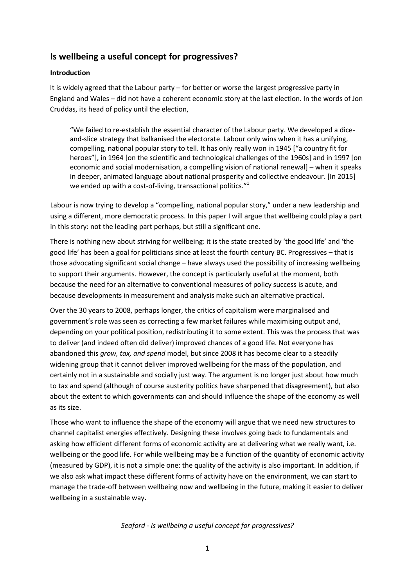## **Is wellbeing a useful concept for progressives?**

#### **Introduction**

It is widely agreed that the Labour party – for better or worse the largest progressive party in England and Wales – did not have a coherent economic story at the last election. In the words of Jon Cruddas, its head of policy until the election,

"We failed to re-establish the essential character of the Labour party. We developed a diceand-slice strategy that balkanised the electorate. Labour only wins when it has a unifying, compelling, national popular story to tell. It has only really won in 1945 ["a country fit for heroes"], in 1964 [on the scientific and technological challenges of the 1960s] and in 1997 [on economic and social modernisation, a compelling vision of national renewal] – when it speaks in deeper, animated language about national prosperity and collective endeavour. [In 2015] we ended up with a cost-of-living, transactional politics."<sup>1</sup>

Labour is now trying to develop a "compelling, national popular story," under a new leadership and using a different, more democratic process. In this paper I will argue that wellbeing could play a part in this story: not the leading part perhaps, but still a significant one.

There is nothing new about striving for wellbeing: it is the state created by 'the good life' and 'the good life' has been a goal for politicians since at least the fourth century BC. Progressives – that is those advocating significant social change – have always used the possibility of increasing wellbeing to support their arguments. However, the concept is particularly useful at the moment, both because the need for an alternative to conventional measures of policy success is acute, and because developments in measurement and analysis make such an alternative practical.

Over the 30 years to 2008, perhaps longer, the critics of capitalism were marginalised and government's role was seen as correcting a few market failures while maximising output and, depending on your political position, redistributing it to some extent. This was the process that was to deliver (and indeed often did deliver) improved chances of a good life. Not everyone has abandoned this *grow, tax, and spend* model, but since 2008 it has become clear to a steadily widening group that it cannot deliver improved wellbeing for the mass of the population, and certainly not in a sustainable and socially just way. The argument is no longer just about how much to tax and spend (although of course austerity politics have sharpened that disagreement), but also about the extent to which governments can and should influence the shape of the economy as well as its size.

Those who want to influence the shape of the economy will argue that we need new structures to channel capitalist energies effectively. Designing these involves going back to fundamentals and asking how efficient different forms of economic activity are at delivering what we really want, i.e. wellbeing or the good life. For while wellbeing may be a function of the quantity of economic activity (measured by GDP), it is not a simple one: the quality of the activity is also important. In addition, if we also ask what impact these different forms of activity have on the environment, we can start to manage the trade-off between wellbeing now and wellbeing in the future, making it easier to deliver wellbeing in a sustainable way.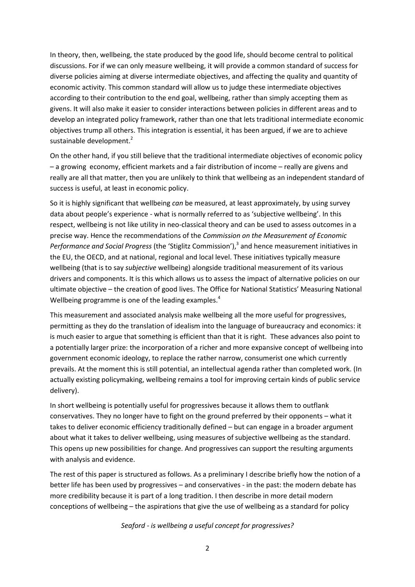In theory, then, wellbeing, the state produced by the good life, should become central to political discussions. For if we can only measure wellbeing, it will provide a common standard of success for diverse policies aiming at diverse intermediate objectives, and affecting the quality and quantity of economic activity. This common standard will allow us to judge these intermediate objectives according to their contribution to the end goal, wellbeing, rather than simply accepting them as givens. It will also make it easier to consider interactions between policies in different areas and to develop an integrated policy framework, rather than one that lets traditional intermediate economic objectives trump all others. This integration is essential, it has been argued, if we are to achieve sustainable development.<sup>2</sup>

On the other hand, if you still believe that the traditional intermediate objectives of economic policy – a growing economy, efficient markets and a fair distribution of income – really are givens and really are all that matter, then you are unlikely to think that wellbeing as an independent standard of success is useful, at least in economic policy.

So it is highly significant that wellbeing *can* be measured, at least approximately, by using survey data about people's experience - what is normally referred to as 'subjective wellbeing'. In this respect, wellbeing is not like utility in neo-classical theory and can be used to assess outcomes in a precise way. Hence the recommendations of the *Commission on the Measurement of Economic Performance and Social Progress* (the 'Stiglitz Commission'), 3 and hence measurement initiatives in the EU, the OECD, and at national, regional and local level. These initiatives typically measure wellbeing (that is to say *subjective* wellbeing) alongside traditional measurement of its various drivers and components. It is this which allows us to assess the impact of alternative policies on our ultimate objective – the creation of good lives. The Office for National Statistics' Measuring National Wellbeing programme is one of the leading examples.<sup>4</sup>

This measurement and associated analysis make wellbeing all the more useful for progressives, permitting as they do the translation of idealism into the language of bureaucracy and economics: it is much easier to argue that something is efficient than that it is right. These advances also point to a potentially larger prize: the incorporation of a richer and more expansive concept of wellbeing into government economic ideology, to replace the rather narrow, consumerist one which currently prevails. At the moment this is still potential, an intellectual agenda rather than completed work. (In actually existing policymaking, wellbeing remains a tool for improving certain kinds of public service delivery).

In short wellbeing is potentially useful for progressives because it allows them to outflank conservatives. They no longer have to fight on the ground preferred by their opponents – what it takes to deliver economic efficiency traditionally defined – but can engage in a broader argument about what it takes to deliver wellbeing, using measures of subjective wellbeing as the standard. This opens up new possibilities for change. And progressives can support the resulting arguments with analysis and evidence.

The rest of this paper is structured as follows. As a preliminary I describe briefly how the notion of a better life has been used by progressives – and conservatives - in the past: the modern debate has more credibility because it is part of a long tradition. I then describe in more detail modern conceptions of wellbeing – the aspirations that give the use of wellbeing as a standard for policy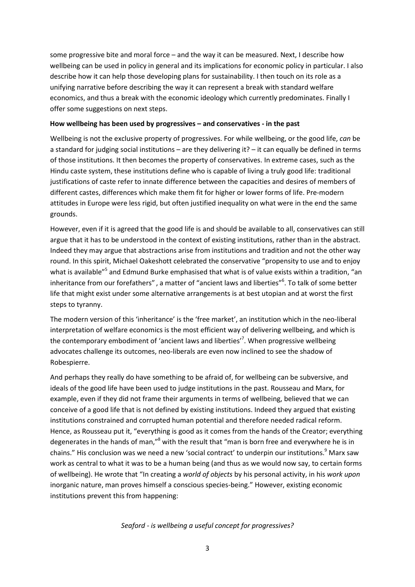some progressive bite and moral force – and the way it can be measured. Next, I describe how wellbeing can be used in policy in general and its implications for economic policy in particular. I also describe how it can help those developing plans for sustainability. I then touch on its role as a unifying narrative before describing the way it can represent a break with standard welfare economics, and thus a break with the economic ideology which currently predominates. Finally I offer some suggestions on next steps.

#### **How wellbeing has been used by progressives – and conservatives - in the past**

Wellbeing is not the exclusive property of progressives. For while wellbeing, or the good life, *can* be a standard for judging social institutions – are they delivering it? – it can equally be defined in terms of those institutions. It then becomes the property of conservatives. In extreme cases, such as the Hindu caste system, these institutions define who is capable of living a truly good life: traditional justifications of caste refer to innate difference between the capacities and desires of members of different castes, differences which make them fit for higher or lower forms of life. Pre-modern attitudes in Europe were less rigid, but often justified inequality on what were in the end the same grounds.

However, even if it is agreed that the good life is and should be available to all, conservatives can still argue that it has to be understood in the context of existing institutions, rather than in the abstract. Indeed they may argue that abstractions arise from institutions and tradition and not the other way round. In this spirit, Michael Oakeshott celebrated the conservative "propensity to use and to enjoy what is available"<sup>5</sup> and Edmund Burke emphasised that what is of value exists within a tradition, "an inheritance from our forefathers", a matter of "ancient laws and liberties"<sup>6</sup>. To talk of some better life that might exist under some alternative arrangements is at best utopian and at worst the first steps to tyranny.

The modern version of this 'inheritance' is the 'free market', an institution which in the neo-liberal interpretation of welfare economics is the most efficient way of delivering wellbeing, and which is the contemporary embodiment of 'ancient laws and liberties'<sup>7</sup>. When progressive wellbeing advocates challenge its outcomes, neo-liberals are even now inclined to see the shadow of Robespierre.

And perhaps they really do have something to be afraid of, for wellbeing can be subversive, and ideals of the good life have been used to judge institutions in the past. Rousseau and Marx, for example, even if they did not frame their arguments in terms of wellbeing, believed that we can conceive of a good life that is not defined by existing institutions. Indeed they argued that existing institutions constrained and corrupted human potential and therefore needed radical reform. Hence, as Rousseau put it, "everything is good as it comes from the hands of the Creator; everything degenerates in the hands of man,"<sup>8</sup> with the result that "man is born free and everywhere he is in chains." His conclusion was we need a new 'social contract' to underpin our institutions." Marx saw work as central to what it was to be a human being (and thus as we would now say, to certain forms of wellbeing). He wrote that "In creating a *world of objects* by his personal activity, in his *work upon*  inorganic nature, man proves himself a conscious species-being." However, existing economic institutions prevent this from happening: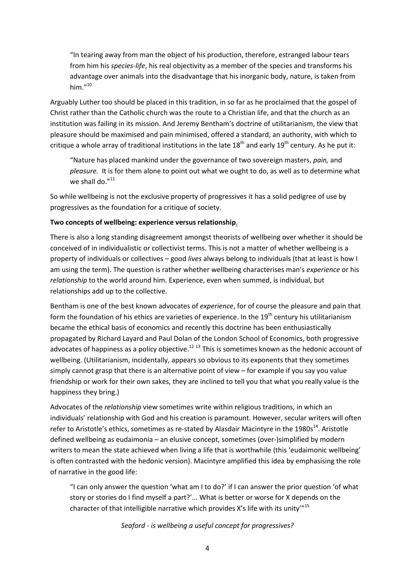"In tearing away from man the object of his production, therefore, estranged labour tears from him his *species-life*, his real objectivity as a member of the species and transforms his advantage over animals into the disadvantage that his inorganic body, nature, is taken from him. $^{\prime\prime}$ <sup>10</sup>

Arguably Luther too should be placed in this tradition, in so far as he proclaimed that the gospel of Christ rather than the Catholic church was the route to a Christian life, and that the church as an institution was failing in its mission. And Jeremy Bentham's doctrine of utilitarianism, the view that pleasure should be maximised and pain minimised, offered a standard, an authority, with which to critique a whole array of traditional institutions in the late  $18<sup>th</sup>$  and early  $19<sup>th</sup>$  century. As he put it:

"Nature has placed mankind under the governance of two sovereign masters, *pain,* and *pleasure.* It is for them alone to point out what we ought to do, as well as to determine what we shall do. $''^{11}$ 

So while wellbeing is not the exclusive property of progressives it has a solid pedigree of use by progressives as the foundation for a critique of society.

#### **Two concepts of wellbeing: experience versus relationship***.*

There is also a long standing disagreement amongst theorists of wellbeing over whether it should be conceived of in individualistic or collectivist terms. This is not a matter of whether wellbeing is a property of individuals or collectives – good *lives* always belong to individuals (that at least is how I am using the term). The question is rather whether wellbeing characterises man's *experience* or his *relationship* to the world around him. Experience, even when summed, is individual, but relationships add up to the collective.

Bentham is one of the best known advocates of *experience*, for of course the pleasure and pain that form the foundation of his ethics are varieties of experience. In the 19<sup>th</sup> century his utilitarianism became the ethical basis of economics and recently this doctrine has been enthusiastically propagated by Richard Layard and Paul Dolan of the London School of Economics, both progressive advocates of happiness as a policy objective.<sup>12 13</sup> This is sometimes known as the hedonic account of wellbeing. (Utilitarianism, incidentally, appears so obvious to its exponents that they sometimes simply cannot grasp that there is an alternative point of view – for example if you say you value friendship or work for their own sakes, they are inclined to tell you that what you really value is the happiness they bring.)

Advocates of the *relationship* view sometimes write within religious traditions, in which an individuals' relationship with God and his creation is paramount. However, secular writers will often refer to Aristotle's ethics, sometimes as re-stated by Alasdair Macintyre in the 1980s<sup>14</sup>. Aristotle defined wellbeing as eudaimonia – an elusive concept, sometimes (over-)simplified by modern writers to mean the state achieved when living a life that is worthwhile (this 'eudaimonic wellbeing' is often contrasted with the hedonic version). Macintyre amplified this idea by emphasising the role of narrative in the good life:

"I can only answer the question 'what am I to do?' if I can answer the prior question 'of what story or stories do I find myself a part?'... What is better or worse for X depends on the character of that intelligible narrative which provides X's life with its unity"<sup>15</sup>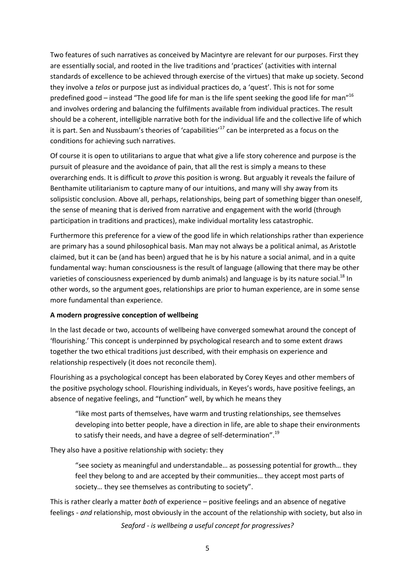Two features of such narratives as conceived by Macintyre are relevant for our purposes. First they are essentially social, and rooted in the live traditions and 'practices' (activities with internal standards of excellence to be achieved through exercise of the virtues) that make up society. Second they involve a *telos* or purpose just as individual practices do, a 'quest'. This is not for some predefined good – instead "The good life for man is the life spent seeking the good life for man"<sup>16</sup> and involves ordering and balancing the fulfilments available from individual practices. The result should be a coherent, intelligible narrative both for the individual life and the collective life of which it is part. Sen and Nussbaum's theories of 'capabilities'<sup>17</sup> can be interpreted as a focus on the conditions for achieving such narratives.

Of course it is open to utilitarians to argue that what give a life story coherence and purpose is the pursuit of pleasure and the avoidance of pain, that all the rest is simply a means to these overarching ends. It is difficult to *prove* this position is wrong. But arguably it reveals the failure of Benthamite utilitarianism to capture many of our intuitions, and many will shy away from its solipsistic conclusion. Above all, perhaps, relationships, being part of something bigger than oneself, the sense of meaning that is derived from narrative and engagement with the world (through participation in traditions and practices), make individual mortality less catastrophic.

Furthermore this preference for a view of the good life in which relationships rather than experience are primary has a sound philosophical basis. Man may not always be a political animal, as Aristotle claimed, but it can be (and has been) argued that he is by his nature a social animal, and in a quite fundamental way: human consciousness is the result of language (allowing that there may be other varieties of consciousness experienced by dumb animals) and language is by its nature social.<sup>18</sup> In other words, so the argument goes, relationships are prior to human experience, are in some sense more fundamental than experience.

#### **A modern progressive conception of wellbeing**

In the last decade or two, accounts of wellbeing have converged somewhat around the concept of 'flourishing.' This concept is underpinned by psychological research and to some extent draws together the two ethical traditions just described, with their emphasis on experience and relationship respectively (it does not reconcile them).

Flourishing as a psychological concept has been elaborated by Corey Keyes and other members of the positive psychology school. Flourishing individuals, in Keyes's words, have positive feelings, an absence of negative feelings, and "function" well, by which he means they

"like most parts of themselves, have warm and trusting relationships, see themselves developing into better people, have a direction in life, are able to shape their environments to satisfy their needs, and have a degree of self-determination".<sup>19</sup>

They also have a positive relationship with society: they

"see society as meaningful and understandable… as possessing potential for growth… they feel they belong to and are accepted by their communities… they accept most parts of society… they see themselves as contributing to society".

This is rather clearly a matter *both* of experience – positive feelings and an absence of negative feelings - *and* relationship, most obviously in the account of the relationship with society, but also in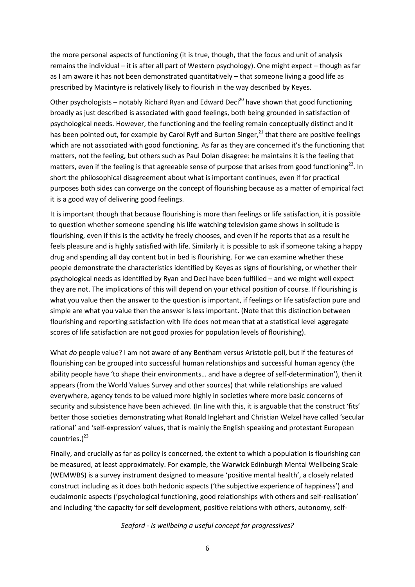the more personal aspects of functioning (it is true, though, that the focus and unit of analysis remains the individual – it is after all part of Western psychology). One might expect – though as far as I am aware it has not been demonstrated quantitatively – that someone living a good life as prescribed by Macintyre is relatively likely to flourish in the way described by Keyes.

Other psychologists – notably Richard Ryan and Edward Deci<sup>20</sup> have shown that good functioning broadly as just described is associated with good feelings, both being grounded in satisfaction of psychological needs. However, the functioning and the feeling remain conceptually distinct and it has been pointed out, for example by Carol Ryff and Burton Singer, $^{21}$  that there are positive feelings which are not associated with good functioning. As far as they are concerned it's the functioning that matters, not the feeling, but others such as Paul Dolan disagree: he maintains it is the feeling that matters, even if the feeling is that agreeable sense of purpose that arises from good functioning<sup>22</sup>. In short the philosophical disagreement about what is important continues, even if for practical purposes both sides can converge on the concept of flourishing because as a matter of empirical fact it is a good way of delivering good feelings.

It is important though that because flourishing is more than feelings or life satisfaction, it is possible to question whether someone spending his life watching television game shows in solitude is flourishing, even if this is the activity he freely chooses, and even if he reports that as a result he feels pleasure and is highly satisfied with life. Similarly it is possible to ask if someone taking a happy drug and spending all day content but in bed is flourishing. For we can examine whether these people demonstrate the characteristics identified by Keyes as signs of flourishing, or whether their psychological needs as identified by Ryan and Deci have been fulfilled – and we might well expect they are not. The implications of this will depend on your ethical position of course. If flourishing is what you value then the answer to the question is important, if feelings or life satisfaction pure and simple are what you value then the answer is less important. (Note that this distinction between flourishing and reporting satisfaction with life does not mean that at a statistical level aggregate scores of life satisfaction are not good proxies for population levels of flourishing).

What *do* people value? I am not aware of any Bentham versus Aristotle poll, but if the features of flourishing can be grouped into successful human relationships and successful human agency (the ability people have 'to shape their environments… and have a degree of self-determination'), then it appears (from the World Values Survey and other sources) that while relationships are valued everywhere, agency tends to be valued more highly in societies where more basic concerns of security and subsistence have been achieved. (In line with this, it is arguable that the construct 'fits' better those societies demonstrating what Ronald Inglehart and Christian Welzel have called 'secular rational' and 'self-expression' values, that is mainly the English speaking and protestant European countries.)<sup>23</sup>

Finally, and crucially as far as policy is concerned, the extent to which a population is flourishing can be measured, at least approximately. For example, the Warwick Edinburgh Mental Wellbeing Scale (WEMWBS) is a survey instrument designed to measure 'positive mental health', a closely related construct including as it does both hedonic aspects ('the subjective experience of happiness') and eudaimonic aspects ('psychological functioning, good relationships with others and self-realisation' and including 'the capacity for self development, positive relations with others, autonomy, self-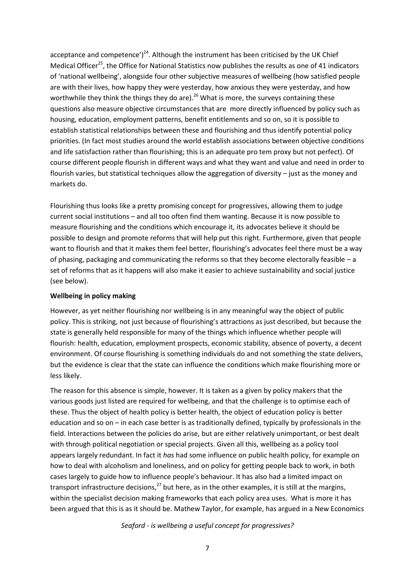acceptance and competence')<sup>24</sup>. Although the instrument has been criticised by the UK Chief Medical Officer<sup>25</sup>, the Office for National Statistics now publishes the results as one of 41 indicators of 'national wellbeing', alongside four other subjective measures of wellbeing (how satisfied people are with their lives, how happy they were yesterday, how anxious they were yesterday, and how worthwhile they think the things they do are).<sup>26</sup> What is more, the surveys containing these questions also measure objective circumstances that are more directly influenced by policy such as housing, education, employment patterns, benefit entitlements and so on, so it is possible to establish statistical relationships between these and flourishing and thus identify potential policy priorities. (In fact most studies around the world establish associations between objective conditions and life satisfaction rather than flourishing; this is an adequate pro tem proxy but not perfect). Of course different people flourish in different ways and what they want and value and need in order to flourish varies, but statistical techniques allow the aggregation of diversity – just as the money and markets do.

Flourishing thus looks like a pretty promising concept for progressives, allowing them to judge current social institutions – and all too often find them wanting. Because it is now possible to measure flourishing and the conditions which encourage it, its advocates believe it should be possible to design and promote reforms that will help put this right. Furthermore, given that people want to flourish and that it makes them feel better, flourishing's advocates feel there must be a way of phasing, packaging and communicating the reforms so that they become electorally feasible – a set of reforms that as it happens will also make it easier to achieve sustainability and social justice (see below).

#### **Wellbeing in policy making**

However, as yet neither flourishing nor wellbeing is in any meaningful way the object of public policy. This is striking, not just because of flourishing's attractions as just described, but because the state is generally held responsible for many of the things which influence whether people will flourish: health, education, employment prospects, economic stability, absence of poverty, a decent environment. Of course flourishing is something individuals do and not something the state delivers, but the evidence is clear that the state can influence the conditions which make flourishing more or less likely.

The reason for this absence is simple, however. It is taken as a given by policy makers that the various goods just listed are required for wellbeing, and that the challenge is to optimise each of these. Thus the object of health policy is better health, the object of education policy is better education and so on – in each case better is as traditionally defined, typically by professionals in the field. Interactions between the policies do arise, but are either relatively unimportant, or best dealt with through political negotiation or special projects. Given all this, wellbeing as a policy tool appears largely redundant. In fact it *has* had some influence on public health policy, for example on how to deal with alcoholism and loneliness, and on policy for getting people back to work, in both cases largely to guide how to influence people's behaviour. It has also had a limited impact on transport infrastructure decisions,<sup>27</sup> but here, as in the other examples, it is still at the margins, within the specialist decision making frameworks that each policy area uses. What is more it has been argued that this is as it should be. Mathew Taylor, for example, has argued in a New Economics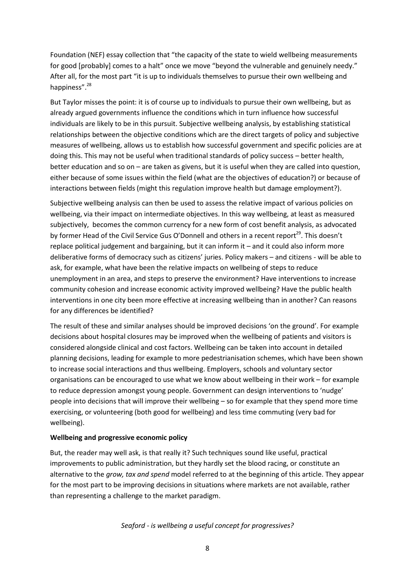Foundation (NEF) essay collection that "the capacity of the state to wield wellbeing measurements for good [probably] comes to a halt" once we move "beyond the vulnerable and genuinely needy." After all, for the most part "it is up to individuals themselves to pursue their own wellbeing and happiness".<sup>28</sup>

But Taylor misses the point: it is of course up to individuals to pursue their own wellbeing, but as already argued governments influence the conditions which in turn influence how successful individuals are likely to be in this pursuit. Subjective wellbeing analysis, by establishing statistical relationships between the objective conditions which are the direct targets of policy and subjective measures of wellbeing, allows us to establish how successful government and specific policies are at doing this. This may not be useful when traditional standards of policy success – better health, better education and so on – are taken as givens, but it is useful when they are called into question, either because of some issues within the field (what are the objectives of education?) or because of interactions between fields (might this regulation improve health but damage employment?).

Subjective wellbeing analysis can then be used to assess the relative impact of various policies on wellbeing, via their impact on intermediate objectives. In this way wellbeing, at least as measured subjectively, becomes the common currency for a new form of cost benefit analysis, as advocated by former Head of the Civil Service Gus O'Donnell and others in a recent report<sup>29</sup>. This doesn't replace political judgement and bargaining, but it can inform it – and it could also inform more deliberative forms of democracy such as citizens' juries. Policy makers – and citizens - will be able to ask, for example, what have been the relative impacts on wellbeing of steps to reduce unemployment in an area, and steps to preserve the environment? Have interventions to increase community cohesion and increase economic activity improved wellbeing? Have the public health interventions in one city been more effective at increasing wellbeing than in another? Can reasons for any differences be identified?

The result of these and similar analyses should be improved decisions 'on the ground'. For example decisions about hospital closures may be improved when the wellbeing of patients and visitors is considered alongside clinical and cost factors. Wellbeing can be taken into account in detailed planning decisions, leading for example to more pedestrianisation schemes, which have been shown to increase social interactions and thus wellbeing. Employers, schools and voluntary sector organisations can be encouraged to use what we know about wellbeing in their work – for example to reduce depression amongst young people. Government can design interventions to 'nudge' people into decisions that will improve their wellbeing – so for example that they spend more time exercising, or volunteering (both good for wellbeing) and less time commuting (very bad for wellbeing).

#### **Wellbeing and progressive economic policy**

But, the reader may well ask, is that really it? Such techniques sound like useful, practical improvements to public administration, but they hardly set the blood racing, or constitute an alternative to the *grow, tax and spend* model referred to at the beginning of this article. They appear for the most part to be improving decisions in situations where markets are not available, rather than representing a challenge to the market paradigm.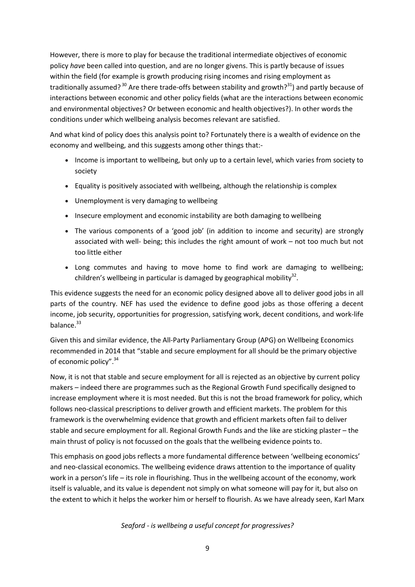However, there is more to play for because the traditional intermediate objectives of economic policy *have* been called into question, and are no longer givens. This is partly because of issues within the field (for example is growth producing rising incomes and rising employment as traditionally assumed?<sup>30</sup> Are there trade-offs between stability and growth?<sup>31</sup>) and partly because of interactions between economic and other policy fields (what are the interactions between economic and environmental objectives? Or between economic and health objectives?). In other words the conditions under which wellbeing analysis becomes relevant are satisfied.

And what kind of policy does this analysis point to? Fortunately there is a wealth of evidence on the economy and wellbeing, and this suggests among other things that:-

- Income is important to wellbeing, but only up to a certain level, which varies from society to society
- Equality is positively associated with wellbeing, although the relationship is complex
- Unemployment is very damaging to wellbeing
- Insecure employment and economic instability are both damaging to wellbeing
- The various components of a 'good job' (in addition to income and security) are strongly associated with well- being; this includes the right amount of work – not too much but not too little either
- Long commutes and having to move home to find work are damaging to wellbeing; children's wellbeing in particular is damaged by geographical mobility $^{32}$ .

This evidence suggests the need for an economic policy designed above all to deliver good jobs in all parts of the country. NEF has used the evidence to define good jobs as those offering a decent income, job security, opportunities for progression, satisfying work, decent conditions, and work-life balance.<sup>33</sup>

Given this and similar evidence, the All-Party Parliamentary Group (APG) on Wellbeing Economics recommended in 2014 that "stable and secure employment for all should be the primary objective of economic policy".<sup>34</sup>

Now, it is not that stable and secure employment for all is rejected as an objective by current policy makers – indeed there are programmes such as the Regional Growth Fund specifically designed to increase employment where it is most needed. But this is not the broad framework for policy, which follows neo-classical prescriptions to deliver growth and efficient markets. The problem for this framework is the overwhelming evidence that growth and efficient markets often fail to deliver stable and secure employment for all. Regional Growth Funds and the like are sticking plaster – the main thrust of policy is not focussed on the goals that the wellbeing evidence points to.

This emphasis on good jobs reflects a more fundamental difference between 'wellbeing economics' and neo-classical economics. The wellbeing evidence draws attention to the importance of quality work in a person's life – its role in flourishing. Thus in the wellbeing account of the economy, work itself is valuable, and its value is dependent not simply on what someone will pay for it, but also on the extent to which it helps the worker him or herself to flourish. As we have already seen, Karl Marx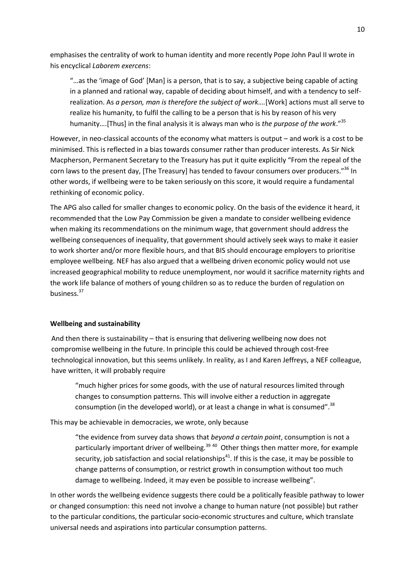emphasises the centrality of work to human identity and more recently Pope John Paul II wrote in his encyclical *Laborem exercens*:

"…as the 'image of God' [Man] is a person, that is to say, a subjective being capable of acting in a planned and rational way, capable of deciding about himself, and with a tendency to selfrealization. As *a person, man is therefore the subject of work….*[Work] actions must all serve to realize his humanity, to fulfil the calling to be a person that is his by reason of his very humanity….[Thus] in the final analysis it is always man who is *the purpose of the work*."<sup>35</sup>

However, in neo-classical accounts of the economy what matters is output – and work is a cost to be minimised. This is reflected in a bias towards consumer rather than producer interests. As Sir Nick Macpherson, Permanent Secretary to the Treasury has put it quite explicitly "From the repeal of the corn laws to the present day, [The Treasury] has tended to favour consumers over producers."<sup>36</sup> In other words, if wellbeing were to be taken seriously on this score, it would require a fundamental rethinking of economic policy.

The APG also called for smaller changes to economic policy. On the basis of the evidence it heard, it recommended that the Low Pay Commission be given a mandate to consider wellbeing evidence when making its recommendations on the minimum wage, that government should address the wellbeing consequences of inequality, that government should actively seek ways to make it easier to work shorter and/or more flexible hours, and that BIS should encourage employers to prioritise employee wellbeing. NEF has also argued that a wellbeing driven economic policy would not use increased geographical mobility to reduce unemployment, nor would it sacrifice maternity rights and the work life balance of mothers of young children so as to reduce the burden of regulation on business.<sup>37</sup>

#### **Wellbeing and sustainability**

And then there is sustainability – that is ensuring that delivering wellbeing now does not compromise wellbeing in the future. In principle this could be achieved through cost-free technological innovation, but this seems unlikely. In reality, as I and Karen Jeffreys, a NEF colleague, have written, it will probably require

"much higher prices for some goods, with the use of natural resources limited through changes to consumption patterns. This will involve either a reduction in aggregate consumption (in the developed world), or at least a change in what is consumed".<sup>38</sup>

This may be achievable in democracies, we wrote, only because

"the evidence from survey data shows that *beyond a certain point*, consumption is not a particularly important driver of wellbeing.<sup>39 40</sup> Other things then matter more, for example security, job satisfaction and social relationships<sup>41</sup>. If this is the case, it may be possible to change patterns of consumption, or restrict growth in consumption without too much damage to wellbeing. Indeed, it may even be possible to increase wellbeing".

In other words the wellbeing evidence suggests there could be a politically feasible pathway to lower or changed consumption: this need not involve a change to human nature (not possible) but rather to the particular conditions, the particular socio-economic structures and culture, which translate universal needs and aspirations into particular consumption patterns.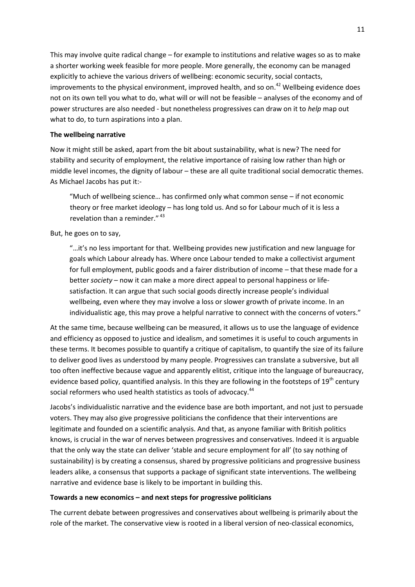This may involve quite radical change – for example to institutions and relative wages so as to make a shorter working week feasible for more people. More generally, the economy can be managed explicitly to achieve the various drivers of wellbeing: economic security, social contacts, improvements to the physical environment, improved health, and so on. <sup>42</sup> Wellbeing evidence does not on its own tell you what to do, what will or will not be feasible – analyses of the economy and of power structures are also needed - but nonetheless progressives can draw on it to *help* map out what to do, to turn aspirations into a plan.

#### **The wellbeing narrative**

Now it might still be asked, apart from the bit about sustainability, what is new? The need for stability and security of employment, the relative importance of raising low rather than high or middle level incomes, the dignity of labour – these are all quite traditional social democratic themes. As Michael Jacobs has put it:-

"Much of wellbeing science… has confirmed only what common sense – if not economic theory or free market ideology – has long told us. And so for Labour much of it is less a revelation than a reminder." <sup>43</sup>

But, he goes on to say,

"…it's no less important for that. Wellbeing provides new justification and new language for goals which Labour already has. Where once Labour tended to make a collectivist argument for full employment, public goods and a fairer distribution of income – that these made for a better *society* – now it can make a more direct appeal to personal happiness or lifesatisfaction. It can argue that such social goods directly increase people's individual wellbeing, even where they may involve a loss or slower growth of private income. In an individualistic age, this may prove a helpful narrative to connect with the concerns of voters."

At the same time, because wellbeing can be measured, it allows us to use the language of evidence and efficiency as opposed to justice and idealism, and sometimes it is useful to couch arguments in these terms. It becomes possible to quantify a critique of capitalism, to quantify the size of its failure to deliver good lives as understood by many people. Progressives can translate a subversive, but all too often ineffective because vague and apparently elitist, critique into the language of bureaucracy, evidence based policy, quantified analysis. In this they are following in the footsteps of 19<sup>th</sup> century social reformers who used health statistics as tools of advocacy.<sup>44</sup>

Jacobs's individualistic narrative and the evidence base are both important, and not just to persuade voters. They may also give progressive politicians the confidence that their interventions are legitimate and founded on a scientific analysis. And that, as anyone familiar with British politics knows, is crucial in the war of nerves between progressives and conservatives. Indeed it is arguable that the only way the state can deliver 'stable and secure employment for all' (to say nothing of sustainability) is by creating a consensus, shared by progressive politicians and progressive business leaders alike, a consensus that supports a package of significant state interventions. The wellbeing narrative and evidence base is likely to be important in building this.

#### **Towards a new economics – and next steps for progressive politicians**

The current debate between progressives and conservatives about wellbeing is primarily about the role of the market. The conservative view is rooted in a liberal version of neo-classical economics,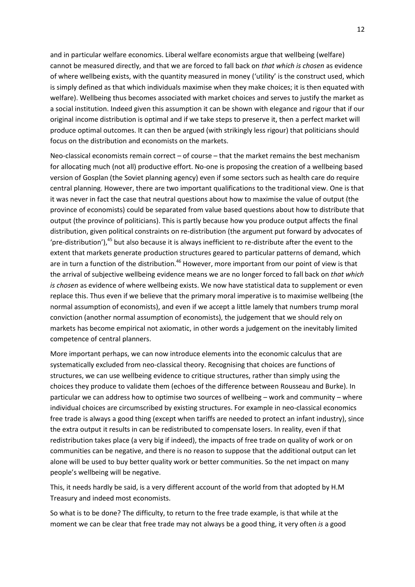and in particular welfare economics. Liberal welfare economists argue that wellbeing (welfare) cannot be measured directly, and that we are forced to fall back on *that which is chosen* as evidence of where wellbeing exists, with the quantity measured in money ('utility' is the construct used, which is simply defined as that which individuals maximise when they make choices; it is then equated with welfare). Wellbeing thus becomes associated with market choices and serves to justify the market as a social institution. Indeed given this assumption it can be shown with elegance and rigour that if our original income distribution is optimal and if we take steps to preserve it, then a perfect market will produce optimal outcomes. It can then be argued (with strikingly less rigour) that politicians should focus on the distribution and economists on the markets.

Neo-classical economists remain correct – of course – that the market remains the best mechanism for allocating much (not all) productive effort. No-one is proposing the creation of a wellbeing based version of Gosplan (the Soviet planning agency) even if some sectors such as health care do require central planning. However, there are two important qualifications to the traditional view. One is that it was never in fact the case that neutral questions about how to maximise the value of output (the province of economists) could be separated from value based questions about how to distribute that output (the province of politicians). This is partly because how you produce output affects the final distribution, given political constraints on re-distribution (the argument put forward by advocates of 'pre-distribution'),<sup>45</sup> but also because it is always inefficient to re-distribute after the event to the extent that markets generate production structures geared to particular patterns of demand, which are in turn a function of the distribution.<sup>46</sup> However, more important from our point of view is that the arrival of subjective wellbeing evidence means we are no longer forced to fall back on *that which is chosen* as evidence of where wellbeing exists. We now have statistical data to supplement or even replace this. Thus even if we believe that the primary moral imperative is to maximise wellbeing (the normal assumption of economists), and even if we accept a little lamely that numbers trump moral conviction (another normal assumption of economists), the judgement that we should rely on markets has become empirical not axiomatic, in other words a judgement on the inevitably limited competence of central planners.

More important perhaps, we can now introduce elements into the economic calculus that are systematically excluded from neo-classical theory. Recognising that choices are functions of structures, we can use wellbeing evidence to critique structures, rather than simply using the choices they produce to validate them (echoes of the difference between Rousseau and Burke). In particular we can address how to optimise two sources of wellbeing – work and community – where individual choices are circumscribed by existing structures. For example in neo-classical economics free trade is always a good thing (except when tariffs are needed to protect an infant industry), since the extra output it results in can be redistributed to compensate losers. In reality, even if that redistribution takes place (a very big if indeed), the impacts of free trade on quality of work or on communities can be negative, and there is no reason to suppose that the additional output can let alone will be used to buy better quality work or better communities. So the net impact on many people's wellbeing will be negative.

This, it needs hardly be said, is a very different account of the world from that adopted by H.M Treasury and indeed most economists.

So what is to be done? The difficulty, to return to the free trade example, is that while at the moment we can be clear that free trade may not always be a good thing, it very often *is* a good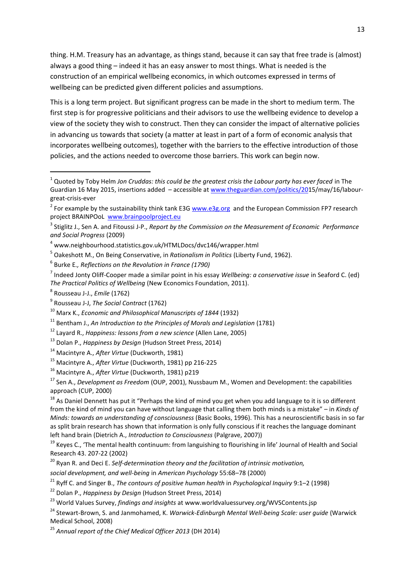thing. H.M. Treasury has an advantage, as things stand, because it can say that free trade is (almost) always a good thing – indeed it has an easy answer to most things. What is needed is the construction of an empirical wellbeing economics, in which outcomes expressed in terms of wellbeing can be predicted given different policies and assumptions.

This is a long term project. But significant progress can be made in the short to medium term. The first step is for progressive politicians and their advisors to use the wellbeing evidence to develop a view of the society they wish to construct. Then they can consider the impact of alternative policies in advancing us towards that society (a matter at least in part of a form of economic analysis that incorporates wellbeing outcomes), together with the barriers to the effective introduction of those policies, and the actions needed to overcome those barriers. This work can begin now.

8 Rousseau J-J., *Emile* (1762)

1

<sup>11</sup> Bentham J., *An Introduction to the Principles of Morals and Legislation* (1781)

<sup>12</sup> Layard R., *Happiness: lessons from a new science* (Allen Lane, 2005)

<sup>13</sup> Dolan P., *Happiness by Design* (Hudson Street Press, 2014)

<sup>14</sup> Macintyre A., *After Virtue* (Duckworth, 1981)

<sup>15</sup> Macintyre A., *After Virtue* (Duckworth, 1981) pp 216-225

<sup>16</sup> Macintyre A., *After Virtue* (Duckworth, 1981) p219

<sup>17</sup> Sen A., *Development as Freedom* (OUP, 2001), Nussbaum M., Women and Development: the capabilities approach (CUP, 2000)

<sup>18</sup> As Daniel Dennett has put it "Perhaps the kind of mind you get when you add language to it is so different from the kind of mind you can have without language that calling them both minds is a mistake" – in *Kinds of Minds: towards an understanding of consciousness* (Basic Books, 1996). This has a neuroscientific basis in so far as split brain research has shown that information is only fully conscious if it reaches the language dominant left hand brain (Dietrich A., *Introduction to Consciousness* (Palgrave, 2007))

<sup>19</sup> Keyes C., 'The mental health continuum: from languishing to flourishing in life' Journal of Health and Social Research 43. 207-22 (2002)

<sup>20</sup> Ryan R. and Deci E. *Self-determination theory and the facilitation of intrinsic motivation,*

*social development, and well-being* in *American Psychology* 55:68–78 (2000)

<sup>21</sup> Ryff C. and Singer B., *The contours of positive human health* in *Psychological Inquiry* 9:1–2 (1998)

<sup>22</sup> Dolan P., *Happiness by Design* (Hudson Street Press, 2014)

<sup>23</sup> World Values Survey, *findings and insights* at www.worldvaluessurvey.org/WVSContents.jsp

<sup>24</sup> Stewart-Brown, S. and Janmohamed, K. *Warwick-Edinburgh Mental Well-being Scale: user guide* (Warwick Medical School, 2008)

<sup>25</sup> *Annual report of the Chief Medical Officer 2013* (DH 2014)

 $^1$  Quoted by Toby Helm *Jon Cruddas: this could be the greatest crisis the Labour party has ever faced in The* Guardian 16 May 2015, insertions added - accessible at [www.theguardian.com/politics/201](http://www.theguardian.com/politics/20)5/may/16/labourgreat-crisis-ever

<sup>&</sup>lt;sup>2</sup> For example by the sustainability think tank E3G **www.e3g.org** and the European Commission FP7 research project BRAINPOoL [www.brainpoolproject.eu](http://www.brainpoolproject.eu/)

<sup>3</sup> Stiglitz J., Sen A. and Fitoussi J-P., *Report by the Commission on the Measurement of Economic Performance and Social Progress* (2009)

<sup>4</sup> www.neighbourhood.statistics.gov.uk/HTMLDocs/dvc146/wrapper.html

<sup>5</sup> Oakeshott M., On Being Conservative, in *Rationalism in Politics* (Liberty Fund, 1962).

<sup>6</sup> Burke E*., Reflections on the Revolution in France (1790)*

<sup>7</sup> Indeed Jonty Oliff-Cooper made a similar point in his essay *Wellbeing: a conservative issue* in Seaford C. (ed) *The Practical Politics of Wellbeing* (New Economics Foundation, 2011).

<sup>9</sup> Rousseau J-J, *The Social Contract* (1762)

<sup>10</sup> Marx K., *Economic and Philosophical Manuscripts of 1844* (1932)